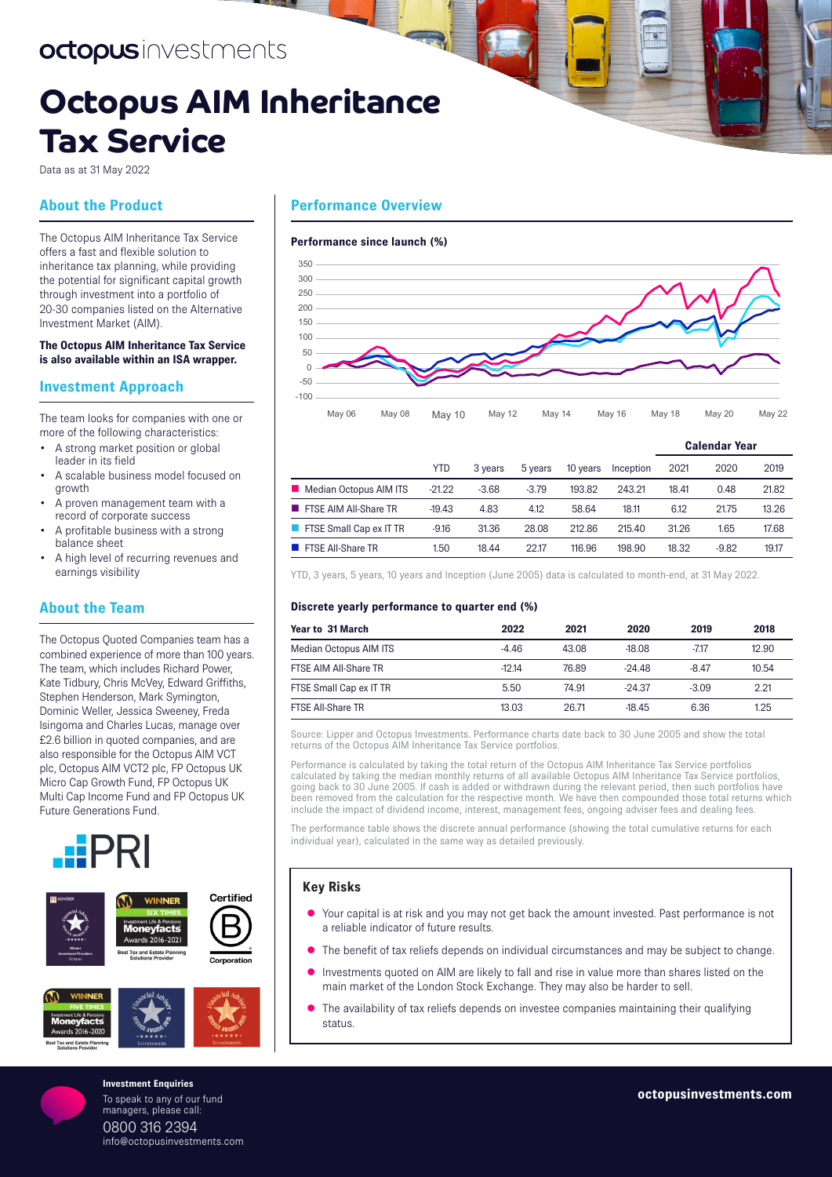# octopusinvestments

# **Octopus AIM Inheritance Tax Service**

Data as at 31 May 2022

# **About the Product**

The Octopus AIM Inheritance Tax Service offers a fast and flexible solution to inheritance tax planning, while providing the potential for significant capital growth through investment into a portfolio of 20-30 companies listed on the Alternative Investment Market (AIM).

### **The Octopus AIM Inheritance Tax Service is also available within an ISA wrapper.**

## **Investment Approach**

The team looks for companies with one or more of the following characteristics:

- A strong market position or global leader in its field
- A scalable business model focused on growth
- A proven management team with a record of corporate success
- A profitable business with a strong balance sheet
- A high level of recurring revenues and earnings visibility

# **About the Team**

The Octopus Quoted Companies team has a combined experience of more than 100 years. The team, which includes Richard Power, Kate Tidbury, Chris McVey, Edward Griffiths, Stephen Henderson, Mark Symington, Dominic Weller, Jessica Sweeney, Freda Isingoma and Charles Lucas, manage over £2.6 billion in quoted companies, and are also responsible for the Octopus AIM VCT plc, Octopus AIM VCT2 plc, FP Octopus UK Micro Cap Growth Fund, FP Octopus UK Multi Cap Income Fund and FP Octopus UK Future Generations Fund.









# **Performance Overview**

### **Performance since launch (%)**



May 06 May 08 May 10 May 12 May 14 May 16 May 18 May 20 May 22

|                                |          |         |         |          |           | <b>Calendar Year</b> |         |       |
|--------------------------------|----------|---------|---------|----------|-----------|----------------------|---------|-------|
|                                | YTD      | 3 years | 5 years | 10 years | Inception | 2021                 | 2020    | 2019  |
| Median Octopus AIM ITS         | $-21.22$ | $-3.68$ | $-3.79$ | 193.82   | 243.21    | 18.41                | 0.48    | 21.82 |
| <b>FISE AIM AII-Share TR</b>   | $-19.43$ | 4.83    | 4.12    | 58.64    | 18.11     | 6.12                 | 21.75   | 13.26 |
| <b>FISE Small Cap ex IT TR</b> | $-9.16$  | 31.36   | 28.08   | 212.86   | 215.40    | 31.26                | 1.65    | 17.68 |
| <b>FISE All-Share TR</b>       | 1.50     | 18.44   | 22.17   | 116.96   | 198.90    | 18.32                | $-9.82$ | 19.17 |
|                                |          |         |         |          |           |                      |         |       |

YTD, 3 years, 5 years, 10 years and Inception (June 2005) data is calculated to month‑end, at 31 May 2022.

### **Discrete yearly performance to quarter end (%)**

| Year to 31 March              | 2022    | 2021  | 2020     | 2019    | 2018  |
|-------------------------------|---------|-------|----------|---------|-------|
| <b>Median Octopus AIM ITS</b> | $-4.46$ | 43.08 | $-18.08$ | $-7.17$ | 12.90 |
| FTSE AIM All-Share TR         | $-1214$ | 76.89 | $-24.48$ | -8.47   | 10.54 |
| FTSE Small Cap ex IT TR       | 5.50    | 74.91 | $-24.37$ | $-3.09$ | 2.21  |
| FTSE All-Share TR             | 13.03   | 26.71 | $-18.45$ | 6.36    | 1.25  |

Source: Lipper and Octopus Investments. Performance charts date back to 30 June 2005 and show the total returns of the Octopus AIM Inheritance Tax Service portfolios.

Performance is calculated by taking the total return of the Octopus AIM Inheritance Tax Service portfolios calculated by taking the median monthly returns of all available Octopus AIM Inheritance Tax Service portfolios, going back to 30 June 2005. If cash is added or withdrawn during the relevant period, then such portfolios have been removed from the calculation for the respective month. We have then compounded those total returns which include the impact of dividend income, interest, management fees, ongoing adviser fees and dealing fees.

The performance table shows the discrete annual performance (showing the total cumulative returns for each individual year), calculated in the same way as detailed previously.

## **Key Risks**

- Your capital is at risk and you may not get back the amount invested. Past performance is not a reliable indicator of future results.
- The benefit of tax reliefs depends on individual circumstances and may be subject to change.
- **Investments quoted on AIM are likely to fall and rise in value more than shares listed on the** main market of the London Stock Exchange. They may also be harder to sell.
- The availability of tax reliefs depends on investee companies maintaining their qualifying status.

### **Investment Enquiries** To speak to any of our fund

managers, please call: 0800 316 2394 info@octopusinvestments.com **octopusinvestments.com**